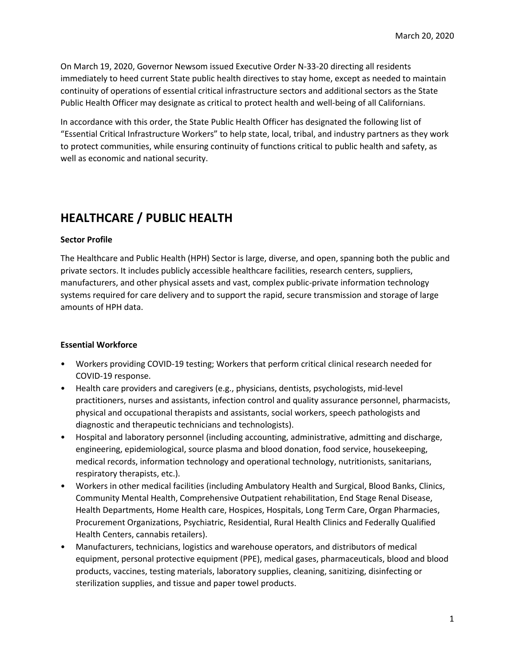On March 19, 2020, Governor Newsom issued Executive Order N-33-20 directing all residents immediately to heed current State public health directives to stay home, except as needed to maintain continuity of operations of essential critical infrastructure sectors and additional sectors as the State Public Health Officer may designate as critical to protect health and well-being of all Californians.

In accordance with this order, the State Public Health Officer has designated the following list of "Essential Critical Infrastructure Workers" to help state, local, tribal, and industry partners as they work to protect communities, while ensuring continuity of functions critical to public health and safety, as well as economic and national security.

## **HEALTHCARE / PUBLIC HEALTH**

### **Sector Profile**

The Healthcare and Public Health (HPH) Sector is large, diverse, and open, spanning both the public and private sectors. It includes publicly accessible healthcare facilities, research centers, suppliers, manufacturers, and other physical assets and vast, complex public-private information technology systems required for care delivery and to support the rapid, secure transmission and storage of large amounts of HPH data.

- Workers providing COVID-19 testing; Workers that perform critical clinical research needed for COVID-19 response.
- Health care providers and caregivers (e.g., physicians, dentists, psychologists, mid-level practitioners, nurses and assistants, infection control and quality assurance personnel, pharmacists, physical and occupational therapists and assistants, social workers, speech pathologists and diagnostic and therapeutic technicians and technologists).
- Hospital and laboratory personnel (including accounting, administrative, admitting and discharge, engineering, epidemiological, source plasma and blood donation, food service, housekeeping, medical records, information technology and operational technology, nutritionists, sanitarians, respiratory therapists, etc.).
- Workers in other medical facilities (including Ambulatory Health and Surgical, Blood Banks, Clinics, Community Mental Health, Comprehensive Outpatient rehabilitation, End Stage Renal Disease, Health Departments, Home Health care, Hospices, Hospitals, Long Term Care, Organ Pharmacies, Procurement Organizations, Psychiatric, Residential, Rural Health Clinics and Federally Qualified Health Centers, cannabis retailers).
- Manufacturers, technicians, logistics and warehouse operators, and distributors of medical equipment, personal protective equipment (PPE), medical gases, pharmaceuticals, blood and blood products, vaccines, testing materials, laboratory supplies, cleaning, sanitizing, disinfecting or sterilization supplies, and tissue and paper towel products.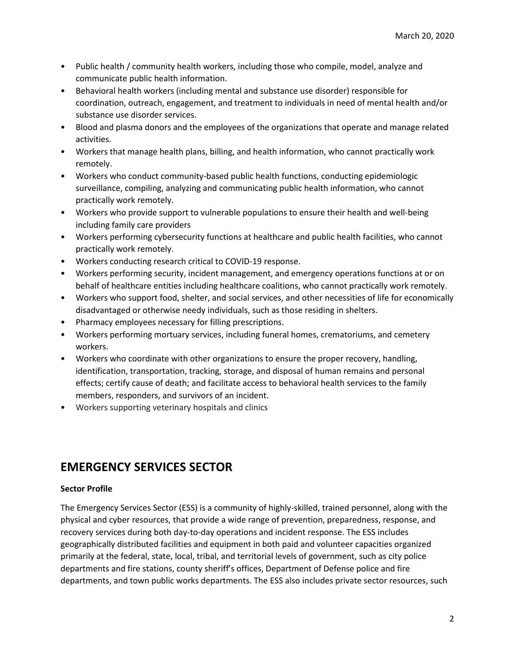- Public health / community health workers, including those who compile, model, analyze and communicate public health information.
- Behavioral health workers (including mental and substance use disorder) responsible for coordination, outreach, engagement, and treatment to individuals in need of mental health and/or substance use disorder services.
- Blood and plasma donors and the employees of the organizations that operate and manage related activities.
- Workers that manage health plans, billing, and health information, who cannot practically work remotely.
- Workers who conduct community-based public health functions, conducting epidemiologic surveillance, compiling, analyzing and communicating public health information, who cannot practically work remotely.
- Workers who provide support to vulnerable populations to ensure their health and well-being including family care providers
- Workers performing cybersecurity functions at healthcare and public health facilities, who cannot practically work remotely.
- Workers conducting research critical to COVID-19 response.
- Workers performing security, incident management, and emergency operations functions at or on behalf of healthcare entities including healthcare coalitions, who cannot practically work remotely.
- Workers who support food, shelter, and social services, and other necessities of life for economically disadvantaged or otherwise needy individuals, such as those residing in shelters.
- Pharmacy employees necessary for filling prescriptions.
- Workers performing mortuary services, including funeral homes, crematoriums, and cemetery workers.
- Workers who coordinate with other organizations to ensure the proper recovery, handling, identification, transportation, tracking, storage, and disposal of human remains and personal effects; certify cause of death; and facilitate access to behavioral health services to the family members, responders, and survivors of an incident.
- Workers supporting veterinary hospitals and clinics

### **EMERGENCY SERVICES SECTOR**

### **Sector Profile**

The Emergency Services Sector (ESS) is a community of highly-skilled, trained personnel, along with the physical and cyber resources, that provide a wide range of prevention, preparedness, response, and recovery services during both day-to-day operations and incident response. The ESS includes geographically distributed facilities and equipment in both paid and volunteer capacities organized primarily at the federal, state, local, tribal, and territorial levels of government, such as city police departments and fire stations, county sheriff's offices, Department of Defense police and fire departments, and town public works departments. The ESS also includes private sector resources, such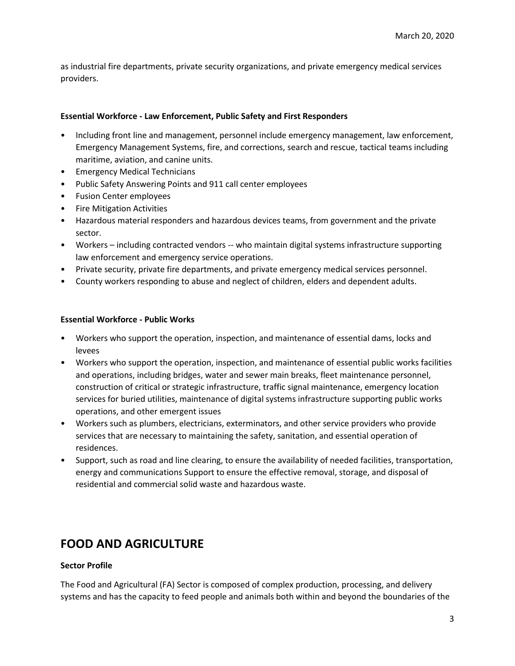as industrial fire departments, private security organizations, and private emergency medical services providers.

#### **Essential Workforce - Law Enforcement, Public Safety and First Responders**

- Including front line and management, personnel include emergency management, law enforcement, Emergency Management Systems, fire, and corrections, search and rescue, tactical teams including maritime, aviation, and canine units.
- Emergency Medical Technicians
- Public Safety Answering Points and 911 call center employees
- Fusion Center employees
- Fire Mitigation Activities
- Hazardous material responders and hazardous devices teams, from government and the private sector.
- Workers including contracted vendors -- who maintain digital systems infrastructure supporting law enforcement and emergency service operations.
- Private security, private fire departments, and private emergency medical services personnel.
- County workers responding to abuse and neglect of children, elders and dependent adults.

### **Essential Workforce - Public Works**

- Workers who support the operation, inspection, and maintenance of essential dams, locks and levees
- Workers who support the operation, inspection, and maintenance of essential public works facilities and operations, including bridges, water and sewer main breaks, fleet maintenance personnel, construction of critical or strategic infrastructure, traffic signal maintenance, emergency location services for buried utilities, maintenance of digital systems infrastructure supporting public works operations, and other emergent issues
- Workers such as plumbers, electricians, exterminators, and other service providers who provide services that are necessary to maintaining the safety, sanitation, and essential operation of residences.
- Support, such as road and line clearing, to ensure the availability of needed facilities, transportation, energy and communications Support to ensure the effective removal, storage, and disposal of residential and commercial solid waste and hazardous waste.

### **FOOD AND AGRICULTURE**

### **Sector Profile**

The Food and Agricultural (FA) Sector is composed of complex production, processing, and delivery systems and has the capacity to feed people and animals both within and beyond the boundaries of the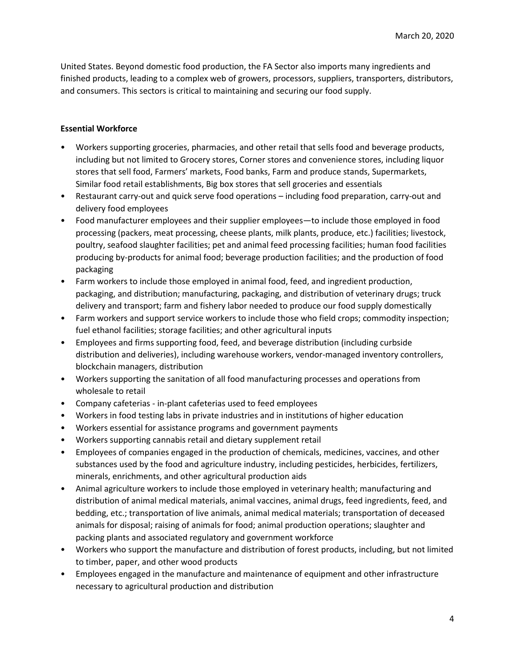United States. Beyond domestic food production, the FA Sector also imports many ingredients and finished products, leading to a complex web of growers, processors, suppliers, transporters, distributors, and consumers. This sectors is critical to maintaining and securing our food supply.

- Workers supporting groceries, pharmacies, and other retail that sells food and beverage products, including but not limited to Grocery stores, Corner stores and convenience stores, including liquor stores that sell food, Farmers' markets, Food banks, Farm and produce stands, Supermarkets, Similar food retail establishments, Big box stores that sell groceries and essentials
- Restaurant carry-out and quick serve food operations including food preparation, carry-out and delivery food employees
- Food manufacturer employees and their supplier employees—to include those employed in food processing (packers, meat processing, cheese plants, milk plants, produce, etc.) facilities; livestock, poultry, seafood slaughter facilities; pet and animal feed processing facilities; human food facilities producing by-products for animal food; beverage production facilities; and the production of food packaging
- Farm workers to include those employed in animal food, feed, and ingredient production, packaging, and distribution; manufacturing, packaging, and distribution of veterinary drugs; truck delivery and transport; farm and fishery labor needed to produce our food supply domestically
- Farm workers and support service workers to include those who field crops; commodity inspection; fuel ethanol facilities; storage facilities; and other agricultural inputs
- Employees and firms supporting food, feed, and beverage distribution (including curbside distribution and deliveries), including warehouse workers, vendor-managed inventory controllers, blockchain managers, distribution
- Workers supporting the sanitation of all food manufacturing processes and operations from wholesale to retail
- Company cafeterias in-plant cafeterias used to feed employees
- Workers in food testing labs in private industries and in institutions of higher education
- Workers essential for assistance programs and government payments
- Workers supporting cannabis retail and dietary supplement retail
- Employees of companies engaged in the production of chemicals, medicines, vaccines, and other substances used by the food and agriculture industry, including pesticides, herbicides, fertilizers, minerals, enrichments, and other agricultural production aids
- Animal agriculture workers to include those employed in veterinary health; manufacturing and distribution of animal medical materials, animal vaccines, animal drugs, feed ingredients, feed, and bedding, etc.; transportation of live animals, animal medical materials; transportation of deceased animals for disposal; raising of animals for food; animal production operations; slaughter and packing plants and associated regulatory and government workforce
- Workers who support the manufacture and distribution of forest products, including, but not limited to timber, paper, and other wood products
- Employees engaged in the manufacture and maintenance of equipment and other infrastructure necessary to agricultural production and distribution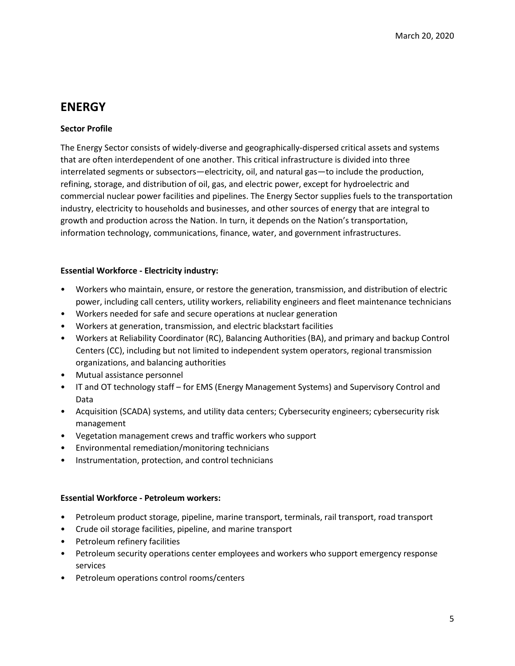### **ENERGY**

### **Sector Profile**

The Energy Sector consists of widely-diverse and geographically-dispersed critical assets and systems that are often interdependent of one another. This critical infrastructure is divided into three interrelated segments or subsectors—electricity, oil, and natural gas—to include the production, refining, storage, and distribution of oil, gas, and electric power, except for hydroelectric and commercial nuclear power facilities and pipelines. The Energy Sector supplies fuels to the transportation industry, electricity to households and businesses, and other sources of energy that are integral to growth and production across the Nation. In turn, it depends on the Nation's transportation, information technology, communications, finance, water, and government infrastructures.

### **Essential Workforce - Electricity industry:**

- Workers who maintain, ensure, or restore the generation, transmission, and distribution of electric power, including call centers, utility workers, reliability engineers and fleet maintenance technicians
- Workers needed for safe and secure operations at nuclear generation
- Workers at generation, transmission, and electric blackstart facilities
- Workers at Reliability Coordinator (RC), Balancing Authorities (BA), and primary and backup Control Centers (CC), including but not limited to independent system operators, regional transmission organizations, and balancing authorities
- Mutual assistance personnel
- IT and OT technology staff for EMS (Energy Management Systems) and Supervisory Control and Data
- Acquisition (SCADA) systems, and utility data centers; Cybersecurity engineers; cybersecurity risk management
- Vegetation management crews and traffic workers who support
- Environmental remediation/monitoring technicians
- Instrumentation, protection, and control technicians

### **Essential Workforce - Petroleum workers:**

- Petroleum product storage, pipeline, marine transport, terminals, rail transport, road transport
- Crude oil storage facilities, pipeline, and marine transport
- Petroleum refinery facilities
- Petroleum security operations center employees and workers who support emergency response services
- Petroleum operations control rooms/centers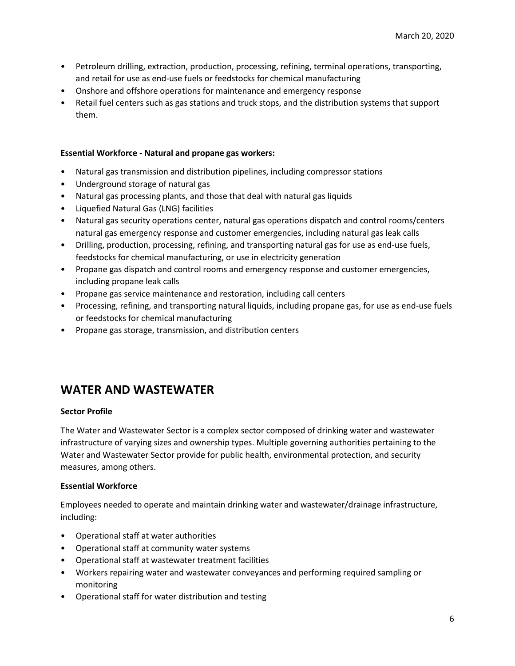- Petroleum drilling, extraction, production, processing, refining, terminal operations, transporting, and retail for use as end-use fuels or feedstocks for chemical manufacturing
- Onshore and offshore operations for maintenance and emergency response
- Retail fuel centers such as gas stations and truck stops, and the distribution systems that support them.

#### **Essential Workforce - Natural and propane gas workers:**

- Natural gas transmission and distribution pipelines, including compressor stations
- Underground storage of natural gas
- Natural gas processing plants, and those that deal with natural gas liquids
- Liquefied Natural Gas (LNG) facilities
- Natural gas security operations center, natural gas operations dispatch and control rooms/centers natural gas emergency response and customer emergencies, including natural gas leak calls
- Drilling, production, processing, refining, and transporting natural gas for use as end-use fuels, feedstocks for chemical manufacturing, or use in electricity generation
- Propane gas dispatch and control rooms and emergency response and customer emergencies, including propane leak calls
- Propane gas service maintenance and restoration, including call centers
- Processing, refining, and transporting natural liquids, including propane gas, for use as end-use fuels or feedstocks for chemical manufacturing
- Propane gas storage, transmission, and distribution centers

### **WATER AND WASTEWATER**

### **Sector Profile**

The Water and Wastewater Sector is a complex sector composed of drinking water and wastewater infrastructure of varying sizes and ownership types. Multiple governing authorities pertaining to the Water and Wastewater Sector provide for public health, environmental protection, and security measures, among others.

### **Essential Workforce**

Employees needed to operate and maintain drinking water and wastewater/drainage infrastructure, including:

- Operational staff at water authorities
- Operational staff at community water systems
- Operational staff at wastewater treatment facilities
- Workers repairing water and wastewater conveyances and performing required sampling or monitoring
- Operational staff for water distribution and testing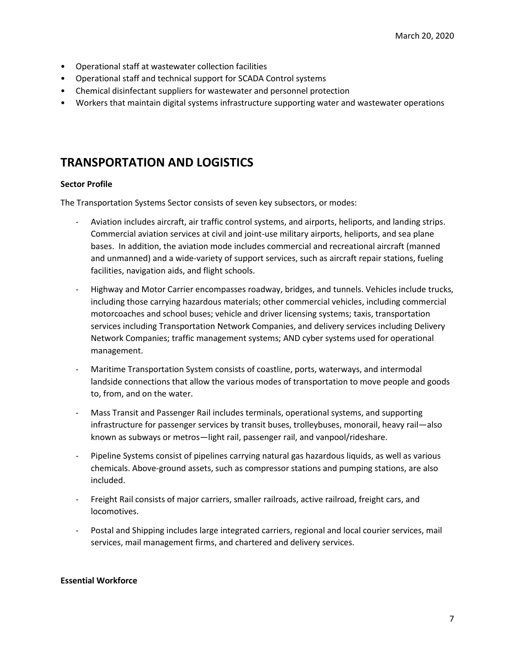- Operational staff at wastewater collection facilities
- Operational staff and technical support for SCADA Control systems
- Chemical disinfectant suppliers for wastewater and personnel protection
- Workers that maintain digital systems infrastructure supporting water and wastewater operations

## **TRANSPORTATION AND LOGISTICS**

#### **Sector Profile**

The Transportation Systems Sector consists of seven key subsectors, or modes:

- Aviation includes aircraft, air traffic control systems, and airports, heliports, and landing strips. Commercial aviation services at civil and joint-use military airports, heliports, and sea plane bases. In addition, the aviation mode includes commercial and recreational aircraft (manned and unmanned) and a wide-variety of support services, such as aircraft repair stations, fueling facilities, navigation aids, and flight schools.
- Highway and Motor Carrier encompasses roadway, bridges, and tunnels. Vehicles include trucks, including those carrying hazardous materials; other commercial vehicles, including commercial motorcoaches and school buses; vehicle and driver licensing systems; taxis, transportation services including Transportation Network Companies, and delivery services including Delivery Network Companies; traffic management systems; AND cyber systems used for operational management.
- Maritime Transportation System consists of coastline, ports, waterways, and intermodal landside connections that allow the various modes of transportation to move people and goods to, from, and on the water.
- Mass Transit and Passenger Rail includes terminals, operational systems, and supporting infrastructure for passenger services by transit buses, trolleybuses, monorail, heavy rail—also known as subways or metros—light rail, passenger rail, and vanpool/rideshare.
- Pipeline Systems consist of pipelines carrying natural gas hazardous liquids, as well as various chemicals. Above-ground assets, such as compressor stations and pumping stations, are also included.
- Freight Rail consists of major carriers, smaller railroads, active railroad, freight cars, and locomotives.
- Postal and Shipping includes large integrated carriers, regional and local courier services, mail services, mail management firms, and chartered and delivery services.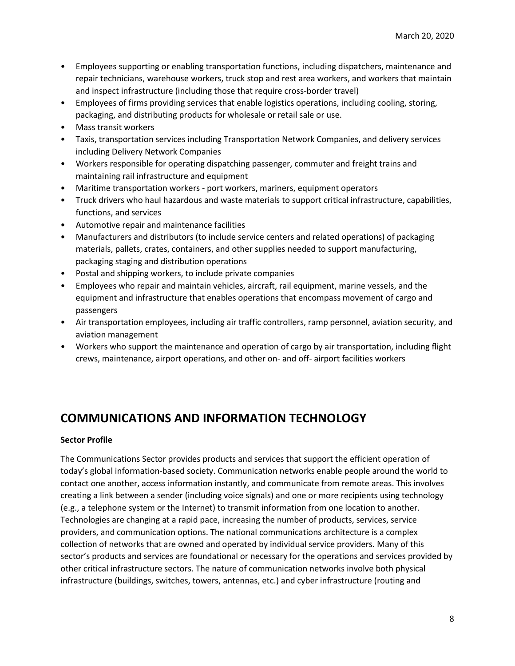- Employees supporting or enabling transportation functions, including dispatchers, maintenance and repair technicians, warehouse workers, truck stop and rest area workers, and workers that maintain and inspect infrastructure (including those that require cross-border travel)
- Employees of firms providing services that enable logistics operations, including cooling, storing, packaging, and distributing products for wholesale or retail sale or use.
- Mass transit workers
- Taxis, transportation services including Transportation Network Companies, and delivery services including Delivery Network Companies
- Workers responsible for operating dispatching passenger, commuter and freight trains and maintaining rail infrastructure and equipment
- Maritime transportation workers port workers, mariners, equipment operators
- Truck drivers who haul hazardous and waste materials to support critical infrastructure, capabilities, functions, and services
- Automotive repair and maintenance facilities
- Manufacturers and distributors (to include service centers and related operations) of packaging materials, pallets, crates, containers, and other supplies needed to support manufacturing, packaging staging and distribution operations
- Postal and shipping workers, to include private companies
- Employees who repair and maintain vehicles, aircraft, rail equipment, marine vessels, and the equipment and infrastructure that enables operations that encompass movement of cargo and passengers
- Air transportation employees, including air traffic controllers, ramp personnel, aviation security, and aviation management
- Workers who support the maintenance and operation of cargo by air transportation, including flight crews, maintenance, airport operations, and other on- and off- airport facilities workers

### **COMMUNICATIONS AND INFORMATION TECHNOLOGY**

### **Sector Profile**

The Communications Sector provides products and services that support the efficient operation of today's global information-based society. Communication networks enable people around the world to contact one another, access information instantly, and communicate from remote areas. This involves creating a link between a sender (including voice signals) and one or more recipients using technology (e.g., a telephone system or the Internet) to transmit information from one location to another. Technologies are changing at a rapid pace, increasing the number of products, services, service providers, and communication options. The national communications architecture is a complex collection of networks that are owned and operated by individual service providers. Many of this sector's products and services are foundational or necessary for the operations and services provided by other critical infrastructure sectors. The nature of communication networks involve both physical infrastructure (buildings, switches, towers, antennas, etc.) and cyber infrastructure (routing and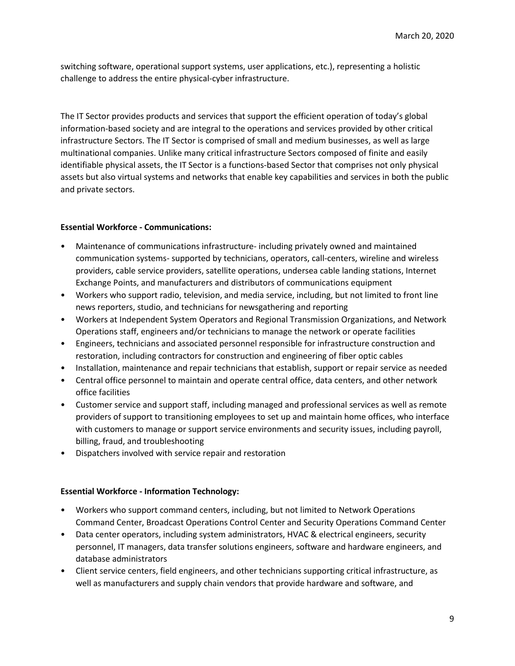switching software, operational support systems, user applications, etc.), representing a holistic challenge to address the entire physical-cyber infrastructure.

The IT Sector provides products and services that support the efficient operation of today's global information-based society and are integral to the operations and services provided by other critical infrastructure Sectors. The IT Sector is comprised of small and medium businesses, as well as large multinational companies. Unlike many critical infrastructure Sectors composed of finite and easily identifiable physical assets, the IT Sector is a functions-based Sector that comprises not only physical assets but also virtual systems and networks that enable key capabilities and services in both the public and private sectors.

### **Essential Workforce - Communications:**

- Maintenance of communications infrastructure- including privately owned and maintained communication systems- supported by technicians, operators, call-centers, wireline and wireless providers, cable service providers, satellite operations, undersea cable landing stations, Internet Exchange Points, and manufacturers and distributors of communications equipment
- Workers who support radio, television, and media service, including, but not limited to front line news reporters, studio, and technicians for newsgathering and reporting
- Workers at Independent System Operators and Regional Transmission Organizations, and Network Operations staff, engineers and/or technicians to manage the network or operate facilities
- Engineers, technicians and associated personnel responsible for infrastructure construction and restoration, including contractors for construction and engineering of fiber optic cables
- Installation, maintenance and repair technicians that establish, support or repair service as needed
- Central office personnel to maintain and operate central office, data centers, and other network office facilities
- Customer service and support staff, including managed and professional services as well as remote providers of support to transitioning employees to set up and maintain home offices, who interface with customers to manage or support service environments and security issues, including payroll, billing, fraud, and troubleshooting
- Dispatchers involved with service repair and restoration

#### **Essential Workforce - Information Technology:**

- Workers who support command centers, including, but not limited to Network Operations Command Center, Broadcast Operations Control Center and Security Operations Command Center
- Data center operators, including system administrators, HVAC & electrical engineers, security personnel, IT managers, data transfer solutions engineers, software and hardware engineers, and database administrators
- Client service centers, field engineers, and other technicians supporting critical infrastructure, as well as manufacturers and supply chain vendors that provide hardware and software, and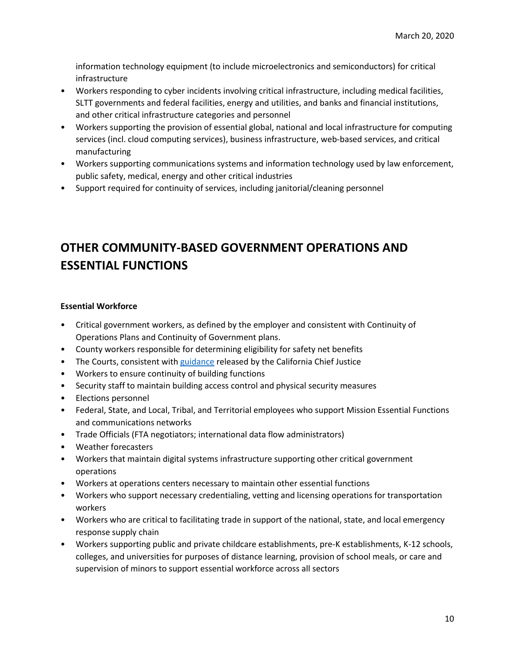information technology equipment (to include microelectronics and semiconductors) for critical infrastructure

- Workers responding to cyber incidents involving critical infrastructure, including medical facilities, SLTT governments and federal facilities, energy and utilities, and banks and financial institutions, and other critical infrastructure categories and personnel
- Workers supporting the provision of essential global, national and local infrastructure for computing services (incl. cloud computing services), business infrastructure, web-based services, and critical manufacturing
- Workers supporting communications systems and information technology used by law enforcement, public safety, medical, energy and other critical industries
- Support required for continuity of services, including janitorial/cleaning personnel

# **OTHER COMMUNITY-BASED GOVERNMENT OPERATIONS AND ESSENTIAL FUNCTIONS**

- Critical government workers, as defined by the employer and consistent with Continuity of Operations Plans and Continuity of Government plans.
- County workers responsible for determining eligibility for safety net benefits
- The Courts, consistent wit[h guidance](https://newsroom.courts.ca.gov/coronavirus-updates) released by the California Chief Justice
- Workers to ensure continuity of building functions
- Security staff to maintain building access control and physical security measures
- Elections personnel
- Federal, State, and Local, Tribal, and Territorial employees who support Mission Essential Functions and communications networks
- Trade Officials (FTA negotiators; international data flow administrators)
- Weather forecasters
- Workers that maintain digital systems infrastructure supporting other critical government operations
- Workers at operations centers necessary to maintain other essential functions
- Workers who support necessary credentialing, vetting and licensing operations for transportation workers
- Workers who are critical to facilitating trade in support of the national, state, and local emergency response supply chain
- Workers supporting public and private childcare establishments, pre-K establishments, K-12 schools, colleges, and universities for purposes of distance learning, provision of school meals, or care and supervision of minors to support essential workforce across all sectors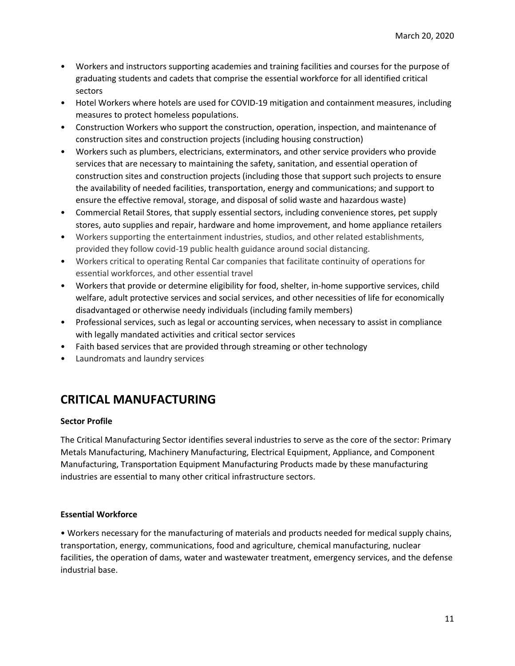- Workers and instructors supporting academies and training facilities and courses for the purpose of graduating students and cadets that comprise the essential workforce for all identified critical sectors
- Hotel Workers where hotels are used for COVID-19 mitigation and containment measures, including measures to protect homeless populations.
- Construction Workers who support the construction, operation, inspection, and maintenance of construction sites and construction projects (including housing construction)
- Workers such as plumbers, electricians, exterminators, and other service providers who provide services that are necessary to maintaining the safety, sanitation, and essential operation of construction sites and construction projects (including those that support such projects to ensure the availability of needed facilities, transportation, energy and communications; and support to ensure the effective removal, storage, and disposal of solid waste and hazardous waste)
- Commercial Retail Stores, that supply essential sectors, including convenience stores, pet supply stores, auto supplies and repair, hardware and home improvement, and home appliance retailers
- Workers supporting the entertainment industries, studios, and other related establishments, provided they follow covid-19 public health guidance around social distancing.
- Workers critical to operating Rental Car companies that facilitate continuity of operations for essential workforces, and other essential travel
- Workers that provide or determine eligibility for food, shelter, in-home supportive services, child welfare, adult protective services and social services, and other necessities of life for economically disadvantaged or otherwise needy individuals (including family members)
- Professional services, such as legal or accounting services, when necessary to assist in compliance with legally mandated activities and critical sector services
- Faith based services that are provided through streaming or other technology
- Laundromats and laundry services

## **CRITICAL MANUFACTURING**

### **Sector Profile**

The Critical Manufacturing Sector identifies several industries to serve as the core of the sector: Primary Metals Manufacturing, Machinery Manufacturing, Electrical Equipment, Appliance, and Component Manufacturing, Transportation Equipment Manufacturing Products made by these manufacturing industries are essential to many other critical infrastructure sectors.

### **Essential Workforce**

• Workers necessary for the manufacturing of materials and products needed for medical supply chains, transportation, energy, communications, food and agriculture, chemical manufacturing, nuclear facilities, the operation of dams, water and wastewater treatment, emergency services, and the defense industrial base.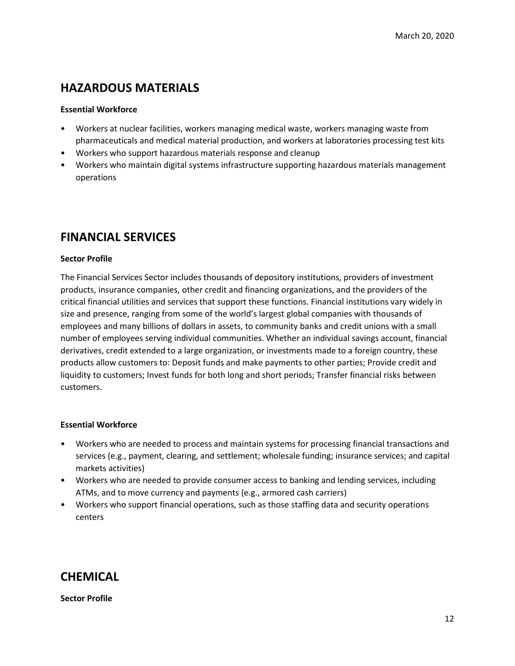## **HAZARDOUS MATERIALS**

#### **Essential Workforce**

- Workers at nuclear facilities, workers managing medical waste, workers managing waste from pharmaceuticals and medical material production, and workers at laboratories processing test kits
- Workers who support hazardous materials response and cleanup
- Workers who maintain digital systems infrastructure supporting hazardous materials management operations

### **FINANCIAL SERVICES**

### **Sector Profile**

The Financial Services Sector includes thousands of depository institutions, providers of investment products, insurance companies, other credit and financing organizations, and the providers of the critical financial utilities and services that support these functions. Financial institutions vary widely in size and presence, ranging from some of the world's largest global companies with thousands of employees and many billions of dollars in assets, to community banks and credit unions with a small number of employees serving individual communities. Whether an individual savings account, financial derivatives, credit extended to a large organization, or investments made to a foreign country, these products allow customers to: Deposit funds and make payments to other parties; Provide credit and liquidity to customers; Invest funds for both long and short periods; Transfer financial risks between customers.

### **Essential Workforce**

- Workers who are needed to process and maintain systems for processing financial transactions and services (e.g., payment, clearing, and settlement; wholesale funding; insurance services; and capital markets activities)
- Workers who are needed to provide consumer access to banking and lending services, including ATMs, and to move currency and payments (e.g., armored cash carriers)
- Workers who support financial operations, such as those staffing data and security operations centers

### **CHEMICAL**

**Sector Profile**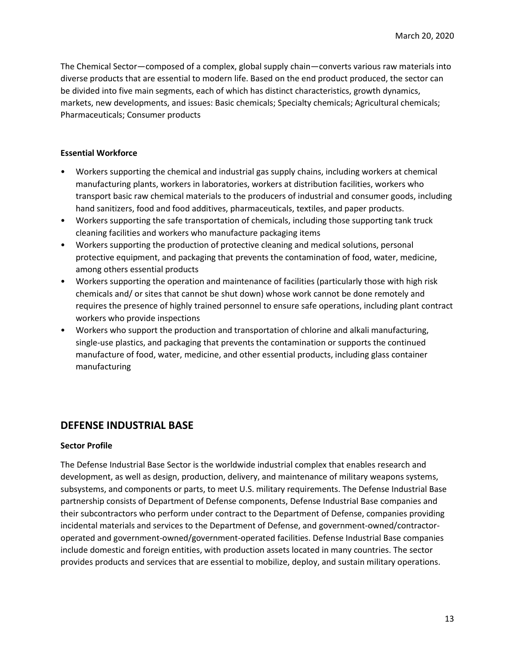The Chemical Sector—composed of a complex, global supply chain—converts various raw materials into diverse products that are essential to modern life. Based on the end product produced, the sector can be divided into five main segments, each of which has distinct characteristics, growth dynamics, markets, new developments, and issues: Basic chemicals; Specialty chemicals; Agricultural chemicals; Pharmaceuticals; Consumer products

### **Essential Workforce**

- Workers supporting the chemical and industrial gas supply chains, including workers at chemical manufacturing plants, workers in laboratories, workers at distribution facilities, workers who transport basic raw chemical materials to the producers of industrial and consumer goods, including hand sanitizers, food and food additives, pharmaceuticals, textiles, and paper products.
- Workers supporting the safe transportation of chemicals, including those supporting tank truck cleaning facilities and workers who manufacture packaging items
- Workers supporting the production of protective cleaning and medical solutions, personal protective equipment, and packaging that prevents the contamination of food, water, medicine, among others essential products
- Workers supporting the operation and maintenance of facilities (particularly those with high risk chemicals and/ or sites that cannot be shut down) whose work cannot be done remotely and requires the presence of highly trained personnel to ensure safe operations, including plant contract workers who provide inspections
- Workers who support the production and transportation of chlorine and alkali manufacturing, single-use plastics, and packaging that prevents the contamination or supports the continued manufacture of food, water, medicine, and other essential products, including glass container manufacturing

### **DEFENSE INDUSTRIAL BASE**

### **Sector Profile**

The Defense Industrial Base Sector is the worldwide industrial complex that enables research and development, as well as design, production, delivery, and maintenance of military weapons systems, subsystems, and components or parts, to meet U.S. military requirements. The Defense Industrial Base partnership consists of Department of Defense components, Defense Industrial Base companies and their subcontractors who perform under contract to the Department of Defense, companies providing incidental materials and services to the Department of Defense, and government-owned/contractoroperated and government-owned/government-operated facilities. Defense Industrial Base companies include domestic and foreign entities, with production assets located in many countries. The sector provides products and services that are essential to mobilize, deploy, and sustain military operations.